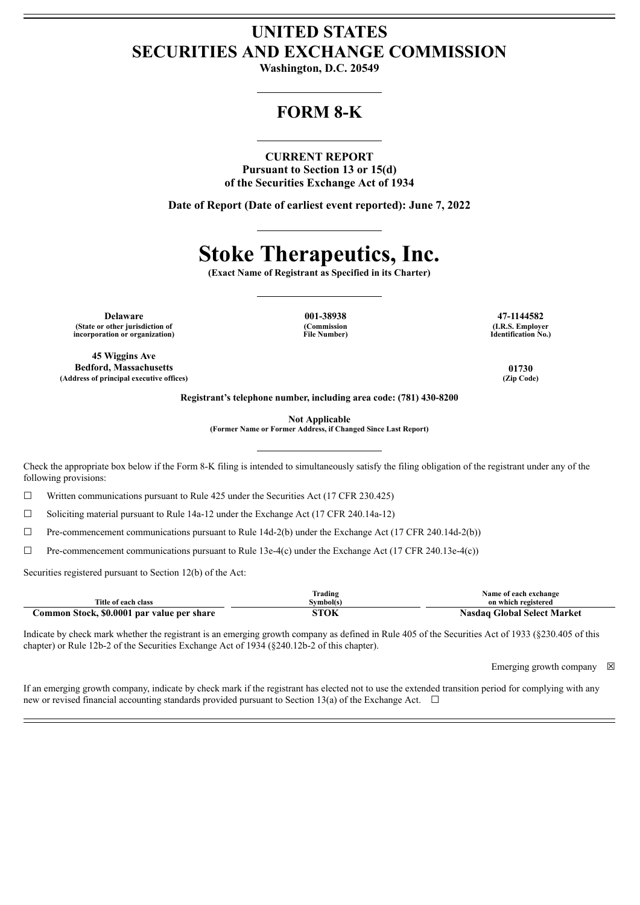## **UNITED STATES SECURITIES AND EXCHANGE COMMISSION**

**Washington, D.C. 20549**

## **FORM 8-K**

#### **CURRENT REPORT**

**Pursuant to Section 13 or 15(d) of the Securities Exchange Act of 1934**

**Date of Report (Date of earliest event reported): June 7, 2022**

# **Stoke Therapeutics, Inc.**

**(Exact Name of Registrant as Specified in its Charter)**

**Delaware 001-38938 47-1144582 (State or other jurisdiction of incorporation or organization)**

**45 Wiggins Ave Bedford, Massachusetts 01730 (Address of principal executive offices) (Zip Code)**

**(Commission File Number)**

**(I.R.S. Employer Identification No.)**

**Registrant's telephone number, including area code: (781) 430-8200**

**Not Applicable**

**(Former Name or Former Address, if Changed Since Last Report)**

Check the appropriate box below if the Form 8-K filing is intended to simultaneously satisfy the filing obligation of the registrant under any of the following provisions:

 $\Box$  Written communications pursuant to Rule 425 under the Securities Act (17 CFR 230.425)

☐ Soliciting material pursuant to Rule 14a-12 under the Exchange Act (17 CFR 240.14a-12)

 $\Box$  Pre-commencement communications pursuant to Rule 14d-2(b) under the Exchange Act (17 CFR 240.14d-2(b))

 $\Box$  Pre-commencement communications pursuant to Rule 13e-4(c) under the Exchange Act (17 CFR 240.13e-4(c))

Securities registered pursuant to Section 12(b) of the Act:

|                                            | Frading  | Name of each exchange              |
|--------------------------------------------|----------|------------------------------------|
| Title of each class                        | švmbol(s | on which registered                |
| Common Stock, \$0.0001 par value per share | ѕток     | <b>Nasdaq Global Select Market</b> |

Indicate by check mark whether the registrant is an emerging growth company as defined in Rule 405 of the Securities Act of 1933 (§230.405 of this chapter) or Rule 12b-2 of the Securities Exchange Act of 1934 (§240.12b-2 of this chapter).

Emerging growth company  $\boxtimes$ 

If an emerging growth company, indicate by check mark if the registrant has elected not to use the extended transition period for complying with any new or revised financial accounting standards provided pursuant to Section 13(a) of the Exchange Act.  $\Box$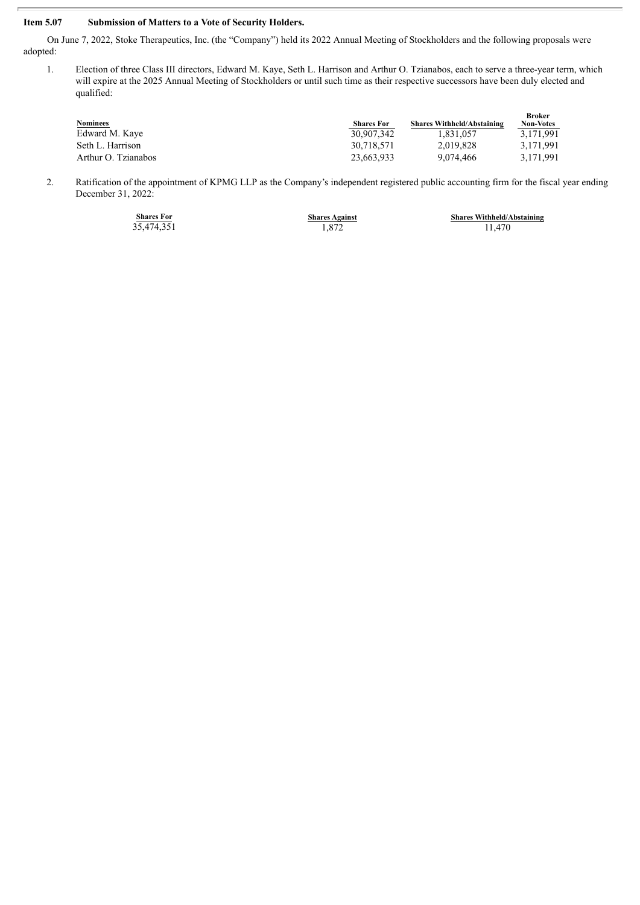### **Item 5.07 Submission of Matters to a Vote of Security Holders.**

On June 7, 2022, Stoke Therapeutics, Inc. (the "Company") held its 2022 Annual Meeting of Stockholders and the following proposals were adopted:

1. Election of three Class III directors, Edward M. Kaye, Seth L. Harrison and Arthur O. Tzianabos, each to serve a three-year term, which will expire at the 2025 Annual Meeting of Stockholders or until such time as their respective successors have been duly elected and qualified:

| Nominees            | <b>Shares For</b> | <b>Shares Withheld/Abstaining</b> | <b>Broker</b><br><b>Non-Votes</b> |
|---------------------|-------------------|-----------------------------------|-----------------------------------|
| Edward M. Kaye      | 30.907.342        | 1.831.057                         | 3.171.991                         |
| Seth L. Harrison    | 30.718.571        | 2.019.828                         | 3.171.991                         |
| Arthur O. Tzianabos | 23.663.933        | 9.074.466                         | 3.171.991                         |

2. Ratification of the appointment of KPMG LLP as the Company's independent registered public accounting firm for the fiscal year ending December 31, 2022:

|  | <b>Shares For</b> |  |
|--|-------------------|--|
|  | 35,474,351        |  |

**Shares Withheld/Abstaining** Shares Against<br>
1,872 **5hares Withheld/A**<br>
11,470